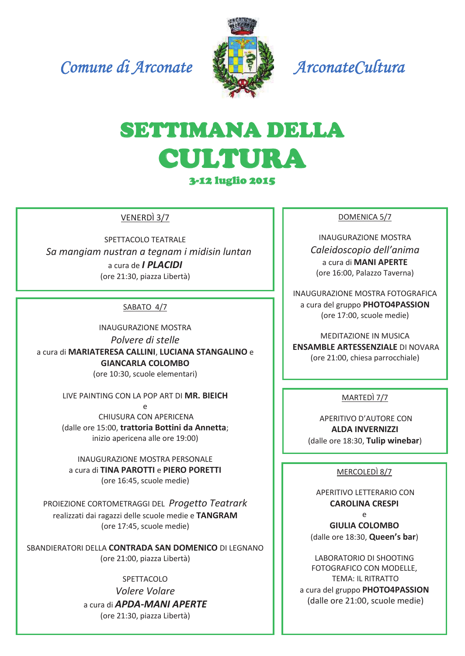Comune di Arconate



ArconateCultura

# SETTIMANA DELLA **CULTURA 3-12 luglio 2015**

VENERDÌ 3/7

SPETTACOLO TEATRALE Sa mangiam nustran a tegnam i midisin luntan a cura de *I PLACIDI* (ore 21:30, piazza Libertà)

# SABATO 4/7

**INAUGURAZIONE MOSTRA** Polvere di stelle a cura di MARIATERESA CALLINI, LUCIANA STANGALINO e **GIANCARLA COLOMBO** (ore 10:30, scuole elementari)

LIVE PAINTING CON LA POP ART DI MR. BIEICH

CHIUSURA CON APERICENA (dalle ore 15:00, trattoria Bottini da Annetta; inizio apericena alle ore 19:00)

**INAUGURAZIONE MOSTRA PERSONALE** a cura di TINA PAROTTI e PIERO PORETTI (ore 16:45, scuole medie)

PROIEZIONE CORTOMETRAGGI DEL Progetto Teatrark realizzati dai ragazzi delle scuole medie e TANGRAM (ore 17:45, scuole medie)

SBANDIERATORI DELLA CONTRADA SAN DOMENICO DI LEGNANO (ore 21:00, piazza Libertà)

SPETTACOLO

Volere Volare a cura di **APDA-MANI APERTE** (ore 21:30, piazza Libertà)

#### DOMENICA 5/7

**INAUGURAZIONE MOSTRA** Caleidoscopio dell'anima a cura di MANI APERTE (ore 16:00, Palazzo Taverna)

INAUGURAZIONE MOSTRA FOTOGRAFICA a cura del gruppo PHOTO4PASSION (ore 17:00, scuole medie)

**MEDITAZIONE IN MUSICA ENSAMBLE ARTESSENZIALE DI NOVARA** (ore 21:00, chiesa parrocchiale)

MARTEDÌ 7/7

APERITIVO D'AUTORE CON **ALDA INVERNIZZI** (dalle ore 18:30, Tulip winebar)

## MERCOLEDÌ 8/7

APFRITIVO I FTTFRARIO CON **CAROLINA CRESPI**  $\Omega$ 

**GIULIA COLOMBO** (dalle ore 18:30, Queen's bar)

LABORATORIO DI SHOOTING FOTOGRAFICO CON MODELLE. **TEMA: IL RITRATTO** a cura del gruppo PHOTO4PASSION (dalle ore 21:00, scuole medie)